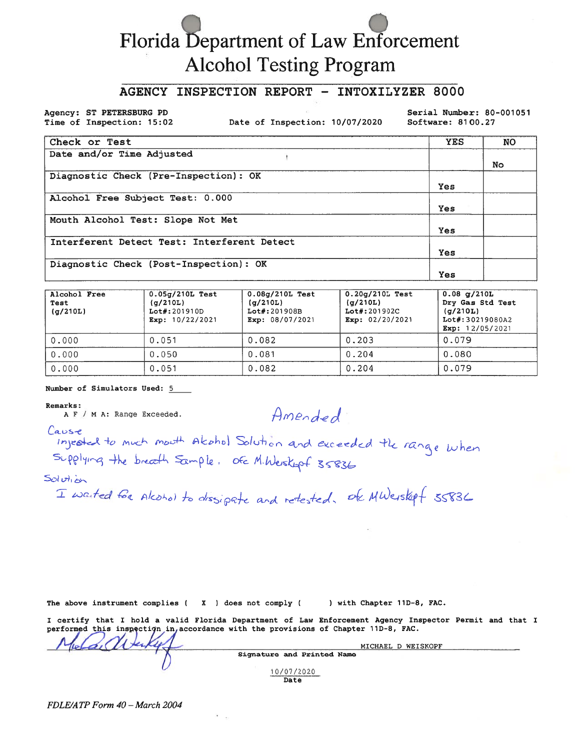# **Florida Department of Law Enforcement Alcohol Testing Program**

### AGENCY INSPECTION REPORT - INTOXILYZER 8000

Agency: ST PETERSBURG PD Time of Inspection: 15:02

Date of Inspection: 10/07/2020

Serial Number: 80-001051 Software: 8100.27

| Check or Test                               | <b>YES</b> | <b>NO</b> |
|---------------------------------------------|------------|-----------|
| Date and/or Time Adjusted                   |            |           |
|                                             |            | No.       |
| Diagnostic Check (Pre-Inspection): OK       |            |           |
|                                             | Yes        |           |
| Alcohol Free Subject Test: 0.000            |            |           |
|                                             | Yes        |           |
| Mouth Alcohol Test: Slope Not Met           |            |           |
|                                             | Yes        |           |
| Interferent Detect Test: Interferent Detect |            |           |
|                                             | Yes        |           |
| Diagnostic Check (Post-Inspection): OK      |            |           |
|                                             | Yes        |           |

| Alcohol Free<br>Test<br>(q/210L) | $0.05q/210L$ Test<br>(g/210L)<br>Lot#: 201910D<br>Exp: 10/22/2021 | $0.08q/210L$ Test<br>(q/210L)<br>Lot#: 201908B<br>Exp: 08/07/2021 | 0.20q/210L Test<br>(q/210L)<br>Lot#: 201902C<br>Exp: $02/20/2021$ | $0.08$ q/210L<br>Dry Gas Std Test<br>(q/210L)<br>Lot#:30219080A2<br>Exp: $12/05/2021$ |
|----------------------------------|-------------------------------------------------------------------|-------------------------------------------------------------------|-------------------------------------------------------------------|---------------------------------------------------------------------------------------|
| 0.000                            | 0.051                                                             | 0.082                                                             | 0.203                                                             | 0.079                                                                                 |
| 0.000                            | 0.050                                                             | 0.081                                                             | 0.204                                                             | 0.080                                                                                 |
| 0.000                            | 0.051                                                             | 0.082                                                             | 0.204                                                             | 0.079                                                                                 |

#### Number of Simulators Used: 5

Remarks:

A F / M A: Range Exceeded.

Amended

ause<br>injected to much mouth Alcohol Solution and exceeded the range when Supplying the breath Sample. Of M. Weiskyof 35836

#### $SolvH$

Cause

I waited for Alcohol to dissipate and retested. Or MWerskipf 55836

The above instrument complies  $(X)$  does not comply  $($ ) with Chapter 11D-8, FAC.

I certify that I hold a valid Florida Department of Law Enforcement Agency Inspector Permit and that I performed this inspection in accordance with the provisions of Chapter 11D-8, FAC.

| MICHAEL D WEISKOPF         |  |
|----------------------------|--|
| Signature and Printed Name |  |
| 10/07/2020                 |  |
| Date                       |  |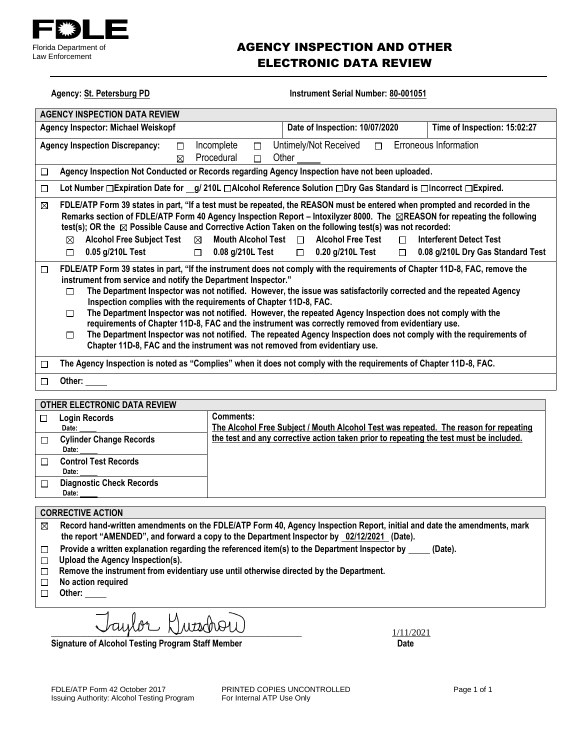

# AGENCY INSPECTION AND OTHER ELECTRONIC DATA REVIEW

| Agency: St. Petersburg PD<br><b>Instrument Serial Number: 80-001051</b>                                                                                                                                                                                                                                                                                                                                                                                                                                                                                                                                                                                                                                                                                                                                                                  |                                                                                                                                                                                                                                                                                                                                                                                                                                                                                                                                                                                                  |  |  |  |
|------------------------------------------------------------------------------------------------------------------------------------------------------------------------------------------------------------------------------------------------------------------------------------------------------------------------------------------------------------------------------------------------------------------------------------------------------------------------------------------------------------------------------------------------------------------------------------------------------------------------------------------------------------------------------------------------------------------------------------------------------------------------------------------------------------------------------------------|--------------------------------------------------------------------------------------------------------------------------------------------------------------------------------------------------------------------------------------------------------------------------------------------------------------------------------------------------------------------------------------------------------------------------------------------------------------------------------------------------------------------------------------------------------------------------------------------------|--|--|--|
| <b>AGENCY INSPECTION DATA REVIEW</b>                                                                                                                                                                                                                                                                                                                                                                                                                                                                                                                                                                                                                                                                                                                                                                                                     |                                                                                                                                                                                                                                                                                                                                                                                                                                                                                                                                                                                                  |  |  |  |
| Agency Inspector: Michael Weiskopf                                                                                                                                                                                                                                                                                                                                                                                                                                                                                                                                                                                                                                                                                                                                                                                                       | Date of Inspection: 10/07/2020<br>Time of Inspection: 15:02:27                                                                                                                                                                                                                                                                                                                                                                                                                                                                                                                                   |  |  |  |
| Erroneous Information<br>Untimely/Not Received<br>Incomplete<br><b>Agency Inspection Discrepancy:</b><br>$\Box$<br>$\Box$<br>$\Box$<br>Procedural<br>$\Box$<br>Other<br>⊠                                                                                                                                                                                                                                                                                                                                                                                                                                                                                                                                                                                                                                                                |                                                                                                                                                                                                                                                                                                                                                                                                                                                                                                                                                                                                  |  |  |  |
| □                                                                                                                                                                                                                                                                                                                                                                                                                                                                                                                                                                                                                                                                                                                                                                                                                                        | Agency Inspection Not Conducted or Records regarding Agency Inspection have not been uploaded.                                                                                                                                                                                                                                                                                                                                                                                                                                                                                                   |  |  |  |
| $\Box$                                                                                                                                                                                                                                                                                                                                                                                                                                                                                                                                                                                                                                                                                                                                                                                                                                   | Lot Number □ Expiration Date for g/ 210L □ Alcohol Reference Solution □ Dry Gas Standard is □ Incorrect □ Expired.                                                                                                                                                                                                                                                                                                                                                                                                                                                                               |  |  |  |
| ⊠<br><b>Alcohol Free Subject Test</b><br>⊠<br>0.05 g/210L Test<br>П                                                                                                                                                                                                                                                                                                                                                                                                                                                                                                                                                                                                                                                                                                                                                                      | FDLE/ATP Form 39 states in part, "If a test must be repeated, the REASON must be entered when prompted and recorded in the<br>Remarks section of FDLE/ATP Form 40 Agency Inspection Report – Intoxilyzer 8000. The $\boxtimes$ REASON for repeating the following<br>test(s); OR the ⊠ Possible Cause and Corrective Action Taken on the following test(s) was not recorded:<br>Mouth Alcohol Test $\Box$<br><b>Alcohol Free Test</b><br><b>Interferent Detect Test</b><br>$\boxtimes$<br>П<br>$\Box$ 0.08 g/210L Test<br>$\Box$ 0.20 g/210L Test<br>0.08 g/210L Dry Gas Standard Test<br>$\Box$ |  |  |  |
| FDLE/ATP Form 39 states in part, "If the instrument does not comply with the requirements of Chapter 11D-8, FAC, remove the<br>$\Box$<br>instrument from service and notify the Department Inspector."<br>The Department Inspector was not notified. However, the issue was satisfactorily corrected and the repeated Agency<br>П<br>Inspection complies with the requirements of Chapter 11D-8, FAC.<br>The Department Inspector was not notified. However, the repeated Agency Inspection does not comply with the<br>п<br>requirements of Chapter 11D-8, FAC and the instrument was correctly removed from evidentiary use.<br>The Department Inspector was not notified. The repeated Agency Inspection does not comply with the requirements of<br>□<br>Chapter 11D-8, FAC and the instrument was not removed from evidentiary use. |                                                                                                                                                                                                                                                                                                                                                                                                                                                                                                                                                                                                  |  |  |  |
| $\Box$                                                                                                                                                                                                                                                                                                                                                                                                                                                                                                                                                                                                                                                                                                                                                                                                                                   | The Agency Inspection is noted as "Complies" when it does not comply with the requirements of Chapter 11D-8, FAC.                                                                                                                                                                                                                                                                                                                                                                                                                                                                                |  |  |  |
| Other:<br>□                                                                                                                                                                                                                                                                                                                                                                                                                                                                                                                                                                                                                                                                                                                                                                                                                              |                                                                                                                                                                                                                                                                                                                                                                                                                                                                                                                                                                                                  |  |  |  |
| <b>OTHER ELECTRONIC DATA REVIEW</b>                                                                                                                                                                                                                                                                                                                                                                                                                                                                                                                                                                                                                                                                                                                                                                                                      |                                                                                                                                                                                                                                                                                                                                                                                                                                                                                                                                                                                                  |  |  |  |
| <b>Login Records</b><br>$\Box$<br>Date:<br><b>Cylinder Change Records</b><br>$\Box$<br>Date:                                                                                                                                                                                                                                                                                                                                                                                                                                                                                                                                                                                                                                                                                                                                             | <b>Comments:</b><br>The Alcohol Free Subject / Mouth Alcohol Test was repeated. The reason for repeating<br>the test and any corrective action taken prior to repeating the test must be included.                                                                                                                                                                                                                                                                                                                                                                                               |  |  |  |
| <b>Control Test Records</b><br>$\Box$<br>Date:<br><b>Diagnostic Check Records</b><br>$\Box$                                                                                                                                                                                                                                                                                                                                                                                                                                                                                                                                                                                                                                                                                                                                              |                                                                                                                                                                                                                                                                                                                                                                                                                                                                                                                                                                                                  |  |  |  |
| Date:                                                                                                                                                                                                                                                                                                                                                                                                                                                                                                                                                                                                                                                                                                                                                                                                                                    |                                                                                                                                                                                                                                                                                                                                                                                                                                                                                                                                                                                                  |  |  |  |

#### **CORRECTIVE ACTION**

- **Record hand-written amendments on the FDLE/ATP Form 40, Agency Inspection Report, initial and date the amendments, mark**   $\boxtimes$ **the report "AMENDED", and forward a copy to the Department Inspector by 02/12/2021 (Date).**
- Provide a written explanation regarding the referenced item(s) to the Department Inspector by \_\_\_\_\_(Date).  $\Box$
- **Upload the Agency Inspection(s).**
- **Remove the instrument from evidentiary use until otherwise directed by the Department.**
- **No action required**  $\Box$
- **Other:**

\_\_\_\_\_\_\_\_\_\_\_\_\_\_\_\_\_\_\_\_\_\_\_\_\_\_\_\_\_\_\_\_\_\_\_\_\_\_\_\_\_\_\_\_\_\_\_\_\_\_\_\_\_ 1/11/2021

**Signature of Alcohol Testing Program Staff Member Date** 

FDLE/ATP Form 42 October 2017 **PRINTED COPIES UNCONTROLLED** Page 1 of 1<br>
Issuing Authority: Alcohol Testing Program For Internal ATP Use Only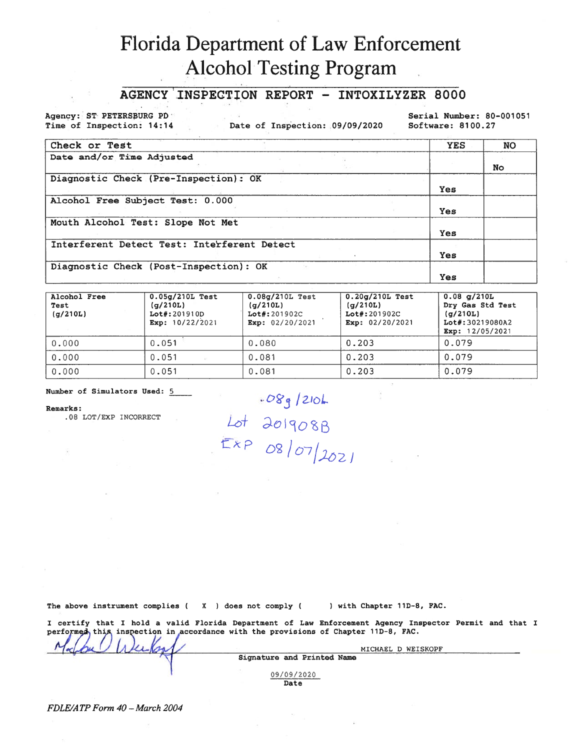# Florida Department of Law Enforcement **Alcohol Testing Program**

# AGENCY INSPECTION REPORT - INTOXILYZER 8000

Agency: ST PETERSBURG PD Time of Inspection: 14:14

Date of Inspection: 09/09/2020

Serial Number: 80-001051 Software: 8100.27

| Check or Test                               | <b>YES</b> | <b>NO</b> |
|---------------------------------------------|------------|-----------|
| Date and/or Time Adjusted                   |            | No        |
| Diagnostic Check (Pre-Inspection): OK       |            |           |
|                                             | <b>Yes</b> |           |
| Alcohol Free Subject Test: 0.000            |            |           |
|                                             | Yes        |           |
| Mouth Alcohol Test: Slope Not Met           |            |           |
|                                             | Yes        |           |
| Interferent Detect Test: Interferent Detect |            |           |
|                                             | <b>Yes</b> |           |
| Diagnostic Check (Post-Inspection): OK      |            |           |
|                                             | Yes        |           |

| Alcohol Free<br>Test<br>(q/210L) | $0.05q/210L$ Test<br>(q/210L)<br>Lot#: 201910D<br>Exp: $10/22/2021$ | $0.08q/210L$ Test<br>(q/210L)<br>$Let$ #:201902C<br>Exp: $02/20/2021$ | $0.20q/210L$ Test<br>(q/210L)<br>Lot#: 201902C<br>Exp: $02/20/2021$ | $0.08$ q/210L<br>Dry Gas Std Test<br>(q/210L)<br>Lot#:30219080A2<br>Exp: 12/05/2021 |
|----------------------------------|---------------------------------------------------------------------|-----------------------------------------------------------------------|---------------------------------------------------------------------|-------------------------------------------------------------------------------------|
| 0.000                            | 0.051                                                               | 0.080                                                                 | 0.203                                                               | 0.079                                                                               |
| 0.000                            | 0.051                                                               | 0.081                                                                 | 0.203                                                               | 0.079                                                                               |
| 0.000                            | 0.051                                                               | 0.081                                                                 | 0.203                                                               | 0.079                                                                               |

Number of Simulators Used: 5

.08 LOT/EXP INCORRECT

Remarks:

 $-08g/210h$ Lot 201908B<br> $EXP$  08/07/2021

The above instrument complies (X) does not comply (

) with Chapter 11D-8, FAC.

I certify that I hold a valid Florida Department of Law Enforcement Agency Inspector Permit and that I performed, this inspection in accordance with the provisions of Chapter 11D-8, FAC. MICHAEL D WEISKOPF

Signature and Printed Name 09/09/2020 Date

FDLE/ATP Form 40 - March 2004